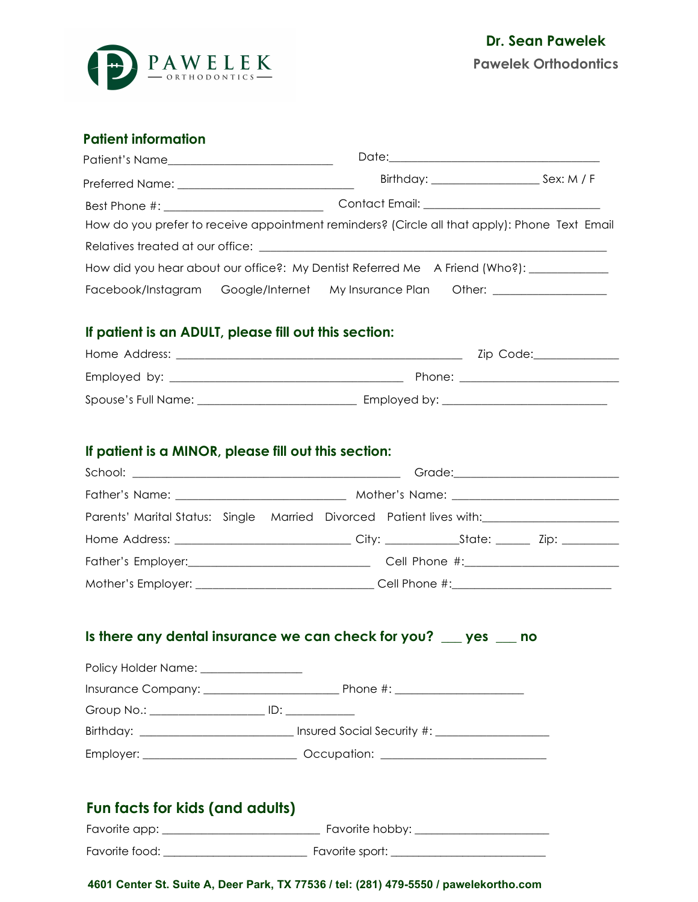

## **Patient information**

| How do you prefer to receive appointment reminders? (Circle all that apply): Phone Text Email |  |  |
|-----------------------------------------------------------------------------------------------|--|--|
|                                                                                               |  |  |
| How did you hear about our office?: My Dentist Referred Me A Friend (Who?): ___________       |  |  |
| Facebook/Instagram Google/Internet My Insurance Plan Other: ______________                    |  |  |

#### **If patient is an ADULT, please fill out this section:**

| Home Address:       | Zip Code:    |
|---------------------|--------------|
| Employed by:        | Phone:       |
| Spouse's Full Name: | Employed by: |

#### **If patient is a MINOR, please fill out this section:**

| Parents' Marital Status: Single Married Divorced Patient lives with: __________________             |  |  |
|-----------------------------------------------------------------------------------------------------|--|--|
| Home Address: _________________________________City: ___________________________ Zip: _____________ |  |  |
|                                                                                                     |  |  |
| Mother's Employer: _________________________________Cell Phone #:_______________                    |  |  |

## **Is there any dental insurance we can check for you? \_\_\_ yes \_\_\_ no**

| Policy Holder Name: ________________ |                                                                                                      |  |  |
|--------------------------------------|------------------------------------------------------------------------------------------------------|--|--|
|                                      |                                                                                                      |  |  |
|                                      |                                                                                                      |  |  |
|                                      | Birthday: ___________________________________ Insured Social Security #: ___________________________ |  |  |
|                                      |                                                                                                      |  |  |
|                                      |                                                                                                      |  |  |
| Fun facts for kids (and adults)      |                                                                                                      |  |  |

| Favorite app:  | Favorite hobby: |
|----------------|-----------------|
| Favorite food: | Favorite sport: |

#### **4601 Center St. Suite A, Deer Park, TX 77536 / tel: (281) 479-5550 / pawelekortho.com**